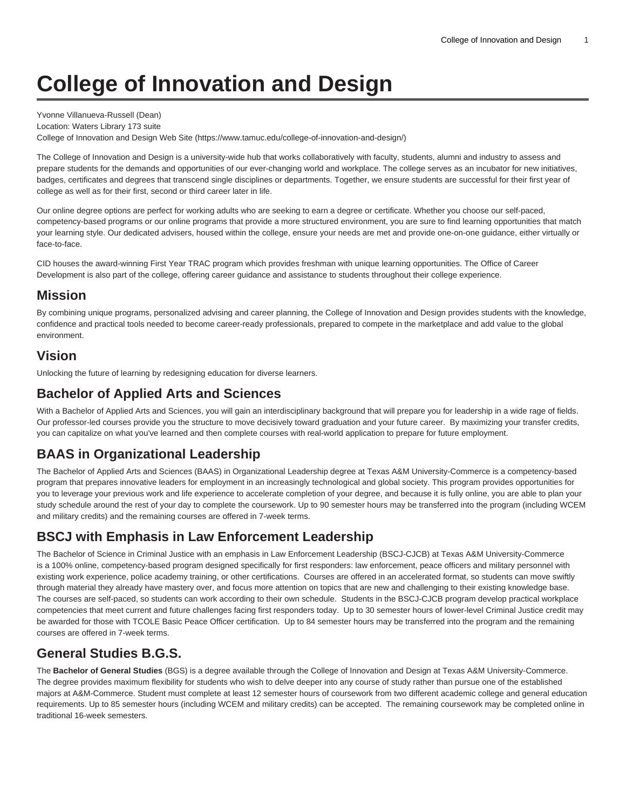# **College of Innovation and Design**

Yvonne Villanueva-Russell (Dean) Location: Waters Library 173 suite [College of Innovation and Design Web Site \(https://www.tamuc.edu/college-of-innovation-and-design/\)](https://www.tamuc.edu/college-of-innovation-and-design/)

The College of Innovation and Design is a university-wide hub that works collaboratively with faculty, students, alumni and industry to assess and prepare students for the demands and opportunities of our ever-changing world and workplace. The college serves as an incubator for new initiatives, badges, certificates and degrees that transcend single disciplines or departments. Together, we ensure students are successful for their first year of college as well as for their first, second or third career later in life.

Our online degree options are perfect for working adults who are seeking to earn a degree or certificate. Whether you choose our self-paced, competency-based programs or our online programs that provide a more structured environment, you are sure to find learning opportunities that match your learning style. Our dedicated advisers, housed within the college, ensure your needs are met and provide one-on-one guidance, either virtually or face-to-face.

CID houses the award-winning First Year TRAC program which provides freshman with unique learning opportunities. The Office of Career Development is also part of the college, offering career guidance and assistance to students throughout their college experience.

## **Mission**

By combining unique programs, personalized advising and career planning, the College of Innovation and Design provides students with the knowledge, confidence and practical tools needed to become career-ready professionals, prepared to compete in the marketplace and add value to the global environment.

#### **Vision**

Unlocking the future of learning by redesigning education for diverse learners.

#### **Bachelor of Applied Arts and Sciences**

With a Bachelor of Applied Arts and Sciences, you will gain an interdisciplinary background that will prepare you for leadership in a wide rage of fields. Our professor-led courses provide you the structure to move decisively toward graduation and your future career. By maximizing your transfer credits, you can capitalize on what you've learned and then complete courses with real-world application to prepare for future employment.

# **BAAS in Organizational Leadership**

The Bachelor of Applied Arts and Sciences (BAAS) in Organizational Leadership degree at Texas A&M University-Commerce is a competency-based program that prepares innovative leaders for employment in an increasingly technological and global society. This program provides opportunities for you to leverage your previous work and life experience to accelerate completion of your degree, and because it is fully online, you are able to plan your study schedule around the rest of your day to complete the coursework. Up to 90 semester hours may be transferred into the program (including WCEM and military credits) and the remaining courses are offered in 7-week terms.

#### **BSCJ with Emphasis in Law Enforcement Leadership**

The Bachelor of Science in Criminal Justice with an emphasis in Law Enforcement Leadership (BSCJ-CJCB) at Texas A&M University-Commerce is a 100% online, competency-based program designed specifically for first responders: law enforcement, peace officers and military personnel with existing work experience, police academy training, or other certifications. Courses are offered in an accelerated format, so students can move swiftly through material they already have mastery over, and focus more attention on topics that are new and challenging to their existing knowledge base. The courses are self-paced, so students can work according to their own schedule. Students in the BSCJ-CJCB program develop practical workplace competencies that meet current and future challenges facing first responders today. Up to 30 semester hours of lower-level Criminal Justice credit may be awarded for those with TCOLE Basic Peace Officer certification. Up to 84 semester hours may be transferred into the program and the remaining courses are offered in 7-week terms.

# **General Studies B.G.S.**

The **Bachelor of General Studies** (BGS) is a degree available through the College of Innovation and Design at Texas A&M University-Commerce. The degree provides maximum flexibility for students who wish to delve deeper into any course of study rather than pursue one of the established majors at A&M-Commerce. Student must complete at least 12 semester hours of coursework from two different academic college and general education requirements. Up to 85 semester hours (including WCEM and military credits) can be accepted. The remaining coursework may be completed online in traditional 16-week semesters.